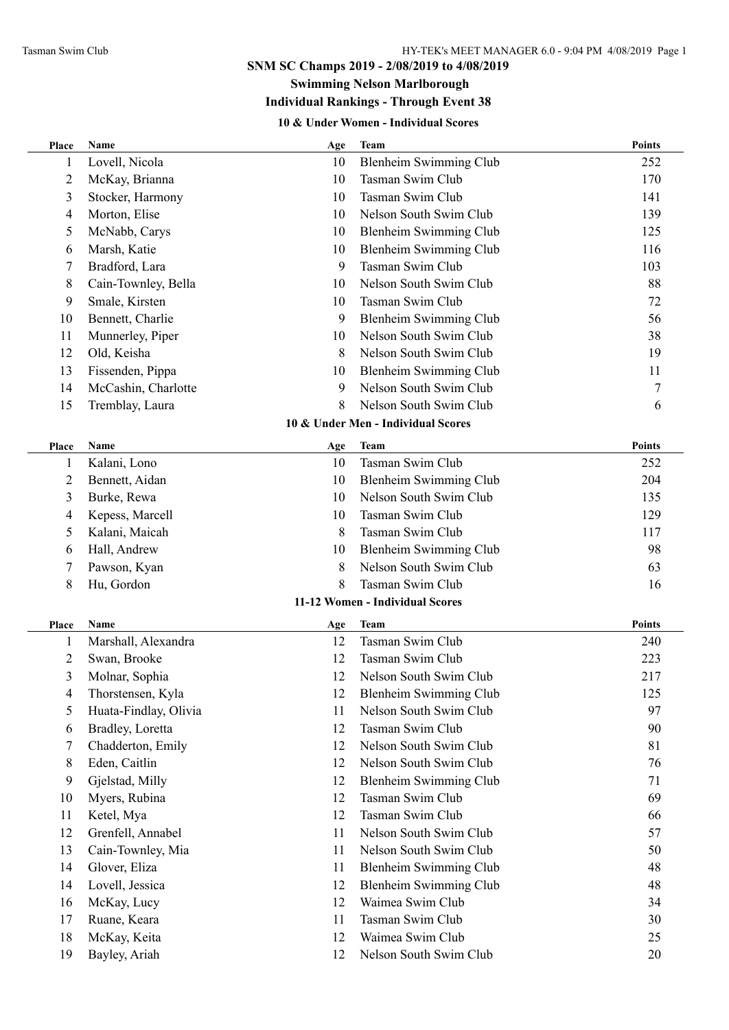#### **Swimming Nelson Marlborough Individual Rankings - Through Event 38**

# **10 & Under Women - Individual Scores**

| Place          | Name                  | Age | <b>Team</b>                        | <b>Points</b> |
|----------------|-----------------------|-----|------------------------------------|---------------|
| 1              | Lovell, Nicola        | 10  | <b>Blenheim Swimming Club</b>      | 252           |
| $\overline{c}$ | McKay, Brianna        | 10  | Tasman Swim Club                   | 170           |
| 3              | Stocker, Harmony      | 10  | Tasman Swim Club                   | 141           |
| 4              | Morton, Elise         | 10  | Nelson South Swim Club             | 139           |
| 5              | McNabb, Carys         | 10  | <b>Blenheim Swimming Club</b>      | 125           |
| 6              | Marsh, Katie          | 10  | <b>Blenheim Swimming Club</b>      | 116           |
| 7              | Bradford, Lara        | 9   | Tasman Swim Club                   | 103           |
| 8              | Cain-Townley, Bella   | 10  | Nelson South Swim Club             | 88            |
| 9              | Smale, Kirsten        | 10  | Tasman Swim Club                   | 72            |
| 10             | Bennett, Charlie      | 9   | <b>Blenheim Swimming Club</b>      | 56            |
| 11             | Munnerley, Piper      | 10  | Nelson South Swim Club             | 38            |
| 12             | Old, Keisha           | 8   | Nelson South Swim Club             | 19            |
| 13             | Fissenden, Pippa      | 10  | <b>Blenheim Swimming Club</b>      | 11            |
| 14             | McCashin, Charlotte   | 9   | Nelson South Swim Club             | 7             |
| 15             | Tremblay, Laura       | 8   | Nelson South Swim Club             | 6             |
|                |                       |     | 10 & Under Men - Individual Scores |               |
| Place          | Name                  | Age | <b>Team</b>                        | <b>Points</b> |
| 1              | Kalani, Lono          | 10  | Tasman Swim Club                   | 252           |
| $\overline{c}$ | Bennett, Aidan        | 10  | <b>Blenheim Swimming Club</b>      | 204           |
| 3              | Burke, Rewa           | 10  | Nelson South Swim Club             | 135           |
| 4              | Kepess, Marcell       | 10  | Tasman Swim Club                   | 129           |
| 5              | Kalani, Maicah        | 8   | Tasman Swim Club                   | 117           |
| 6              | Hall, Andrew          | 10  | <b>Blenheim Swimming Club</b>      | 98            |
| 7              | Pawson, Kyan          | 8   | Nelson South Swim Club             | 63            |
| 8              | Hu, Gordon            | 8   | Tasman Swim Club                   | 16            |
|                |                       |     | 11-12 Women - Individual Scores    |               |
| Place          | Name                  | Age | Team                               | <b>Points</b> |
| 1              | Marshall, Alexandra   | 12  | Tasman Swim Club                   | 240           |
| $\mathfrak{2}$ | Swan, Brooke          | 12  | Tasman Swim Club                   | 223           |
| 3              | Molnar, Sophia        | 12  | Nelson South Swim Club             | 217           |
| 4              | Thorstensen, Kyla     | 12  | <b>Blenheim Swimming Club</b>      | 125           |
| 5              | Huata-Findlay, Olivia | 11  | Nelson South Swim Club             | 97            |
| 6              | Bradley, Loretta      | 12  | Tasman Swim Club                   | 90            |
| 7              | Chadderton, Emily     | 12  | Nelson South Swim Club             | 81            |
| 8              | Eden, Caitlin         | 12  | Nelson South Swim Club             | 76            |
| 9              | Gjelstad, Milly       | 12  | <b>Blenheim Swimming Club</b>      | 71            |
| 10             | Myers, Rubina         | 12  | Tasman Swim Club                   | 69            |
| 11             | Ketel, Mya            | 12  | Tasman Swim Club                   | 66            |
| 12             | Grenfell, Annabel     | 11  | Nelson South Swim Club             | 57            |
| 13             | Cain-Townley, Mia     | 11  | Nelson South Swim Club             | 50            |
| 14             | Glover, Eliza         | 11  | <b>Blenheim Swimming Club</b>      | 48            |
| 14             | Lovell, Jessica       | 12  | Blenheim Swimming Club             | 48            |
| 16             | McKay, Lucy           | 12  | Waimea Swim Club                   | 34            |
| 17             | Ruane, Keara          | 11  | Tasman Swim Club                   | 30            |
| 18             | McKay, Keita          | 12  | Waimea Swim Club                   | 25            |
| 19             | Bayley, Ariah         | 12  | Nelson South Swim Club             | 20            |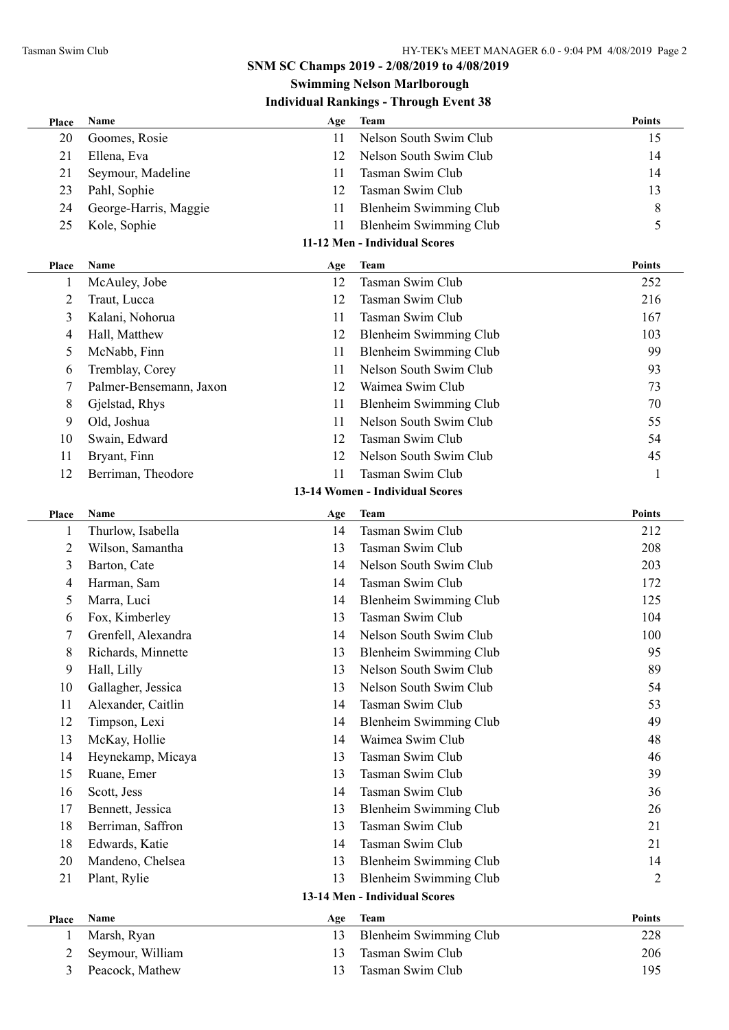## **Swimming Nelson Marlborough**

| Place                         | Name                    | Age | <b>Team</b>                     | <b>Points</b> |
|-------------------------------|-------------------------|-----|---------------------------------|---------------|
| 20                            | Goomes, Rosie           | 11  | Nelson South Swim Club          | 15            |
| 21                            | Ellena, Eva             | 12  | Nelson South Swim Club          | 14            |
| 21                            | Seymour, Madeline       | 11  | Tasman Swim Club                | 14            |
| 23                            | Pahl, Sophie            | 12  | Tasman Swim Club                | 13            |
| 24                            | George-Harris, Maggie   | 11  | <b>Blenheim Swimming Club</b>   | 8             |
| 25                            | Kole, Sophie            | 11  | <b>Blenheim Swimming Club</b>   | 5             |
|                               |                         |     | 11-12 Men - Individual Scores   |               |
| Place                         | Name                    | Age | <b>Team</b>                     | <b>Points</b> |
| 1                             | McAuley, Jobe           | 12  | Tasman Swim Club                | 252           |
| $\overline{2}$                | Traut, Lucca            | 12  | Tasman Swim Club                | 216           |
| 3                             | Kalani, Nohorua         | 11  | Tasman Swim Club                | 167           |
| 4                             | Hall, Matthew           | 12  | <b>Blenheim Swimming Club</b>   | 103           |
| 5                             | McNabb, Finn            | 11  | <b>Blenheim Swimming Club</b>   | 99            |
| 6                             | Tremblay, Corey         | 11  | Nelson South Swim Club          | 93            |
| 7                             | Palmer-Bensemann, Jaxon | 12  | Waimea Swim Club                | 73            |
| 8                             | Gjelstad, Rhys          | 11  | <b>Blenheim Swimming Club</b>   | 70            |
| 9                             | Old, Joshua             | 11  | Nelson South Swim Club          | 55            |
| 10                            | Swain, Edward           | 12  | <b>Tasman Swim Club</b>         | 54            |
| 11                            | Bryant, Finn            | 12  | Nelson South Swim Club          | 45            |
| 12                            | Berriman, Theodore      | 11  | Tasman Swim Club                | 1             |
|                               |                         |     | 13-14 Women - Individual Scores |               |
|                               |                         |     |                                 |               |
| Place                         | Name                    | Age | Team                            | <b>Points</b> |
| 1                             | Thurlow, Isabella       | 14  | Tasman Swim Club                | 212           |
| $\overline{c}$                | Wilson, Samantha        | 13  | Tasman Swim Club                | 208           |
| 3                             | Barton, Cate            | 14  | Nelson South Swim Club          | 203           |
| 4                             | Harman, Sam             | 14  | Tasman Swim Club                | 172           |
| 5                             | Marra, Luci             | 14  | <b>Blenheim Swimming Club</b>   | 125           |
| 6                             | Fox, Kimberley          | 13  | Tasman Swim Club                | 104           |
| 7                             | Grenfell, Alexandra     | 14  | Nelson South Swim Club          | 100           |
| 8                             | Richards, Minnette      | 13  | <b>Blenheim Swimming Club</b>   | 95            |
| 9                             | Hall, Lilly             | 13  | Nelson South Swim Club          | 89            |
| 10                            | Gallagher, Jessica      | 13  | Nelson South Swim Club          | 54            |
| 11                            | Alexander, Caitlin      | 14  | Tasman Swim Club                | 53            |
| 12                            | Timpson, Lexi           | 14  | <b>Blenheim Swimming Club</b>   | 49            |
| 13                            | McKay, Hollie           | 14  | Waimea Swim Club                | 48            |
| 14                            | Heynekamp, Micaya       | 13  | Tasman Swim Club                | 46            |
| 15                            | Ruane, Emer             | 13  | Tasman Swim Club                | 39            |
| 16                            | Scott, Jess             | 14  | Tasman Swim Club                | 36            |
| 17                            | Bennett, Jessica        | 13  | <b>Blenheim Swimming Club</b>   | 26            |
| 18                            | Berriman, Saffron       | 13  | Tasman Swim Club                | 21            |
| 18                            | Edwards, Katie          | 14  | Tasman Swim Club                | 21            |
| 20                            | Mandeno, Chelsea        | 13  | <b>Blenheim Swimming Club</b>   | 14            |
| 21                            | Plant, Rylie            | 13  | <b>Blenheim Swimming Club</b>   | 2             |
| 13-14 Men - Individual Scores |                         |     |                                 |               |
| Place                         | Name                    | Age | <b>Team</b>                     | <b>Points</b> |
| 1                             | Marsh, Ryan             | 13  | <b>Blenheim Swimming Club</b>   | 228           |
| $\overline{c}$                | Seymour, William        | 13  | Tasman Swim Club                | 206           |
| 3                             | Peacock, Mathew         | 13  | Tasman Swim Club                | 195           |
|                               |                         |     |                                 |               |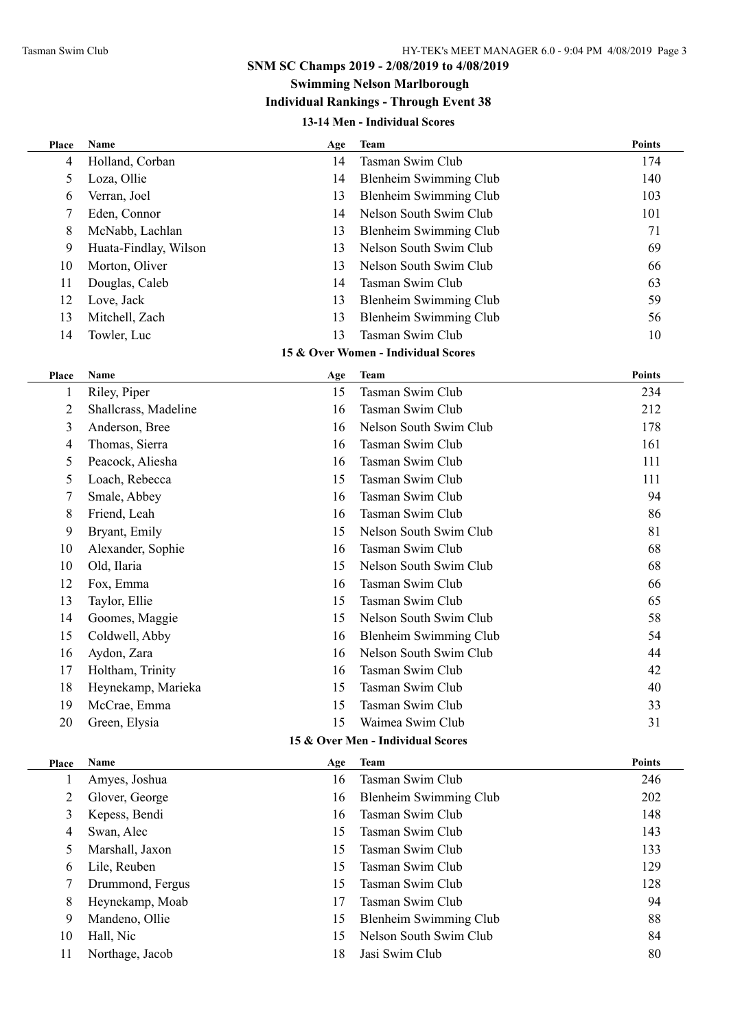## **Swimming Nelson Marlborough Individual Rankings - Through Event 38**

### **13-14 Men - Individual Scores**

| Place          | <b>Name</b>                       | Age | Team                                | Points        |  |  |  |
|----------------|-----------------------------------|-----|-------------------------------------|---------------|--|--|--|
| 4              | Holland, Corban                   | 14  | Tasman Swim Club                    | 174           |  |  |  |
| 5              | Loza, Ollie                       | 14  | Blenheim Swimming Club              | 140           |  |  |  |
| 6              | Verran, Joel                      | 13  | <b>Blenheim Swimming Club</b>       | 103           |  |  |  |
| 7              | Eden, Connor                      | 14  | Nelson South Swim Club              | 101           |  |  |  |
| 8              | McNabb, Lachlan                   | 13  | <b>Blenheim Swimming Club</b>       | 71            |  |  |  |
| 9              | Huata-Findlay, Wilson             | 13  | Nelson South Swim Club              | 69            |  |  |  |
| 10             | Morton, Oliver                    | 13  | Nelson South Swim Club              | 66            |  |  |  |
| 11             | Douglas, Caleb                    | 14  | Tasman Swim Club                    | 63            |  |  |  |
| 12             | Love, Jack                        | 13  | <b>Blenheim Swimming Club</b>       | 59            |  |  |  |
| 13             | Mitchell, Zach                    | 13  | <b>Blenheim Swimming Club</b>       | 56            |  |  |  |
| 14             | Towler, Luc                       | 13  | Tasman Swim Club                    | 10            |  |  |  |
|                |                                   |     | 15 & Over Women - Individual Scores |               |  |  |  |
| Place          | Name                              | Age | <b>Team</b>                         | <b>Points</b> |  |  |  |
| 1              | Riley, Piper                      | 15  | Tasman Swim Club                    | 234           |  |  |  |
| $\overline{2}$ | Shallcrass, Madeline              | 16  | Tasman Swim Club                    | 212           |  |  |  |
| 3              | Anderson, Bree                    | 16  | Nelson South Swim Club              | 178           |  |  |  |
| 4              | Thomas, Sierra                    | 16  | Tasman Swim Club                    | 161           |  |  |  |
| 5              | Peacock, Aliesha                  | 16  | Tasman Swim Club                    | 111           |  |  |  |
| 5              | Loach, Rebecca                    | 15  | Tasman Swim Club                    | 111           |  |  |  |
| 7              | Smale, Abbey                      | 16  | Tasman Swim Club                    | 94            |  |  |  |
| 8              | Friend, Leah                      | 16  | Tasman Swim Club                    | 86            |  |  |  |
| 9              | Bryant, Emily                     | 15  | Nelson South Swim Club              | 81            |  |  |  |
| 10             | Alexander, Sophie                 | 16  | Tasman Swim Club                    | 68            |  |  |  |
| 10             | Old, Ilaria                       | 15  | Nelson South Swim Club              | 68            |  |  |  |
| 12             | Fox, Emma                         | 16  | Tasman Swim Club                    | 66            |  |  |  |
| 13             | Taylor, Ellie                     | 15  | Tasman Swim Club                    | 65            |  |  |  |
| 14             | Goomes, Maggie                    | 15  | Nelson South Swim Club              | 58            |  |  |  |
| 15             | Coldwell, Abby                    | 16  | <b>Blenheim Swimming Club</b>       | 54            |  |  |  |
| 16             | Aydon, Zara                       | 16  | Nelson South Swim Club              | 44            |  |  |  |
| 17             | Holtham, Trinity                  | 16  | Tasman Swim Club                    | 42            |  |  |  |
| 18             | Heynekamp, Marieka                | 15  | Tasman Swim Club                    | 40            |  |  |  |
| 19             | McCrae, Emma                      | 15  | Tasman Swim Club                    | 33            |  |  |  |
| 20             | Green, Elysia                     | 15  | Waimea Swim Club                    | 31            |  |  |  |
|                | 15 & Over Men - Individual Scores |     |                                     |               |  |  |  |
| Place          | Name                              | Age | <b>Team</b>                         | <b>Points</b> |  |  |  |
| $\mathbf{1}$   | Amyes, Joshua                     | 16  | Tasman Swim Club                    | 246           |  |  |  |
| $\overline{2}$ | Glover, George                    | 16  | <b>Blenheim Swimming Club</b>       | 202           |  |  |  |
| 3              | Kepess, Bendi                     | 16  | Tasman Swim Club                    | 148           |  |  |  |
| 4              | Swan, Alec                        | 15  | Tasman Swim Club                    | 143           |  |  |  |
| 5              | Marshall, Jaxon                   | 15  | Tasman Swim Club                    | 133           |  |  |  |
| 6              | Lile, Reuben                      | 15  | Tasman Swim Club                    | 129           |  |  |  |
| 7              | Drummond, Fergus                  | 15  | Tasman Swim Club                    | 128           |  |  |  |

- Heynekamp, Moab 17 Tasman Swim Club 94 9 Mandeno, Ollie 15 Blenheim Swimming Club 88
- 10 Hall, Nic 15 Nelson South Swim Club 84
- 11 Northage, Jacob 18 Jasi Swim Club 80